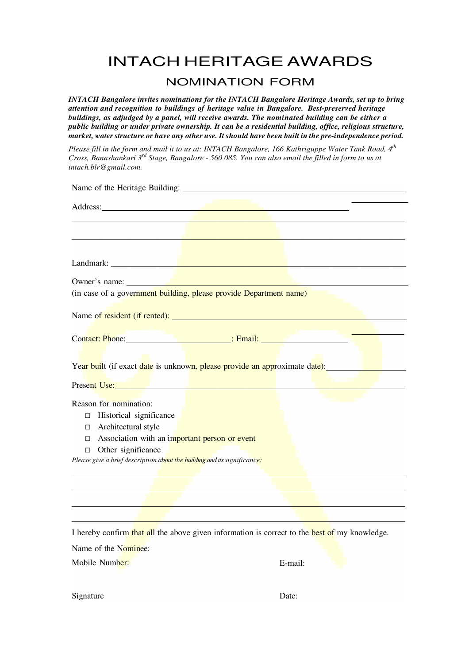## INTACH HERITAGE AWARDS

#### NOMINATION FORM

*INTACH Bangalore invites nominations for the INTACH Bangalore Heritage Awards, set up to bring attention and recognition to buildings of heritage value in Bangalore. Best-preserved heritage buildings, as adjudged by a panel, will receive awards. The nominated building can be either a public building or under private ownership. It can be a residential building, office, religious structure, market, water structure or have any other use. It should have been built in the pre-independence period.* 

*Please fill in the form and mail it to us at: INTACH Bangalore, 166 Kathriguppe Water Tank Road, 4th Cross, Banashankari 3rd Stage, Bangalore - 560 085. You can also email the filled in form to us at intach.blr@gmail.com.*

| Name of the Heritage Building: 1986. The Manual School of the Heritage Building:                                                                                                                                                     |
|--------------------------------------------------------------------------------------------------------------------------------------------------------------------------------------------------------------------------------------|
| Address: Note and the contract of the contract of the contract of the contract of the contract of the contract of the contract of the contract of the contract of the contract of the contract of the contract of the contract       |
|                                                                                                                                                                                                                                      |
|                                                                                                                                                                                                                                      |
|                                                                                                                                                                                                                                      |
| Landmark: <u>Daniel Barbon and Barbon and Barbon and Barbon and Barbon and Barbon and Barbon and Barbon and Barbon and Barbon and Barbon and Barbon and Barbon and Barbon and Barbon and Barbon and Barbon and Barbon and Barbon</u> |
|                                                                                                                                                                                                                                      |
| (in case of a government building, please provide Department name)                                                                                                                                                                   |
|                                                                                                                                                                                                                                      |
|                                                                                                                                                                                                                                      |
| Contact: Phone: 2008 [10] Senail: 2008 [20] Senail: 2008 [20] Senail: 2008 [20] Senail: 2008 [20] Senail: 2008                                                                                                                       |
|                                                                                                                                                                                                                                      |
| Year built (if exact date is unknown, please provide an approximate date):                                                                                                                                                           |
| Present Use: No. 1988. The Common Section 2014 1988.                                                                                                                                                                                 |
|                                                                                                                                                                                                                                      |
| Reason for nomination:                                                                                                                                                                                                               |
| Historical significance<br>$\Box$                                                                                                                                                                                                    |
| $\Box$ Architectural style                                                                                                                                                                                                           |
| $\Box$ Association with an important person or event                                                                                                                                                                                 |
| Other significance<br>П                                                                                                                                                                                                              |
| Please give a brief description about the building and its significance:                                                                                                                                                             |
|                                                                                                                                                                                                                                      |
|                                                                                                                                                                                                                                      |
|                                                                                                                                                                                                                                      |
|                                                                                                                                                                                                                                      |

I hereby confirm that all the above given information is correct to the best of my knowledge.

Name of the Nominee:

Mobile Number:

E-mail:

Signature

Date: